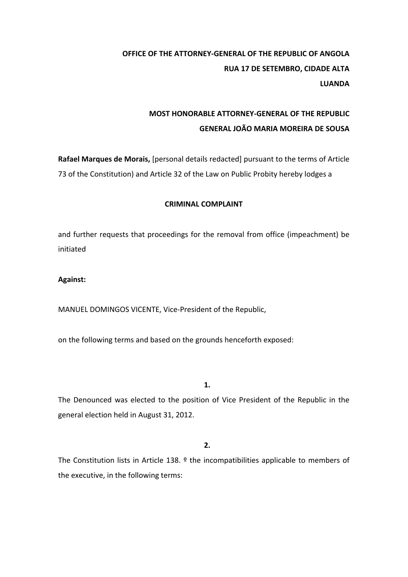# **OFFICE OF THE ATTORNEY-GENERAL OF THE REPUBLIC OF ANGOLA RUA 17 DE SETEMBRO, CIDADE ALTA LUANDA**

## **MOST HONORABLE ATTORNEY-GENERAL OF THE REPUBLIC GENERAL JOÃO MARIA MOREIRA DE SOUSA**

**Rafael Marques de Morais,** [personal details redacted] pursuant to the terms of Article 73 of the Constitution) and Article 32 of the Law on Public Probity hereby lodges a

## **CRIMINAL COMPLAINT**

and further requests that proceedings for the removal from office (impeachment) be initiated 

### **Against:**

MANUEL DOMINGOS VICENTE, Vice-President of the Republic,

on the following terms and based on the grounds henceforth exposed:

**1.**

The Denounced was elected to the position of Vice President of the Republic in the general election held in August 31, 2012.

## **2.**

The Constitution lists in Article 138.  $9$  the incompatibilities applicable to members of the executive, in the following terms: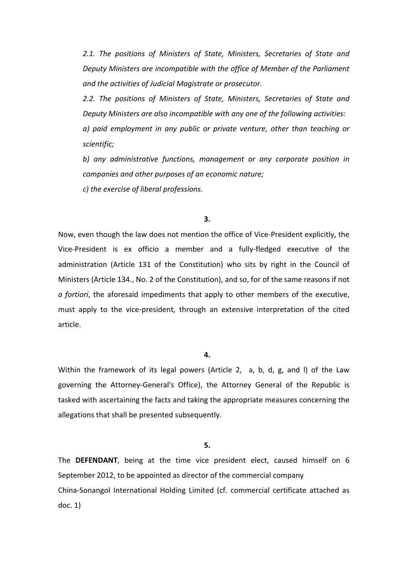2.1. The positions of Ministers of State, Ministers, Secretaries of State and Deputy Ministers are incompatible with the office of Member of the Parliament and the activities of Judicial Magistrate or prosecutor.

2.2. The positions of Ministers of State, Ministers, Secretaries of State and *Deputy Ministers are also incompatible with any one of the following activities: a*) paid employment in any public or private venture, other than teaching or *scientific;*

b) any administrative functions, management or any corporate position in companies and other purposes of an economic nature;

*c) the exercise of liberal professions.*

#### **3.**

Now, even though the law does not mention the office of Vice-President explicitly, the Vice-President is ex officio a member and a fully-fledged executive of the administration (Article 131 of the Constitution) who sits by right in the Council of Ministers (Article 134., No. 2 of the Constitution), and so, for of the same reasons if not a fortiori, the aforesaid impediments that apply to other members of the executive, must apply to the vice-president, through an extensive interpretation of the cited article.

#### **4.**

Within the framework of its legal powers (Article 2, a, b, d, g, and I) of the Law governing the Attorney-General's Office), the Attorney General of the Republic is tasked with ascertaining the facts and taking the appropriate measures concerning the allegations that shall be presented subsequently.

**5.**

The DEFENDANT, being at the time vice president elect, caused himself on 6 September 2012, to be appointed as director of the commercial company China-Sonangol International Holding Limited (cf. commercial certificate attached as doc.  $1)$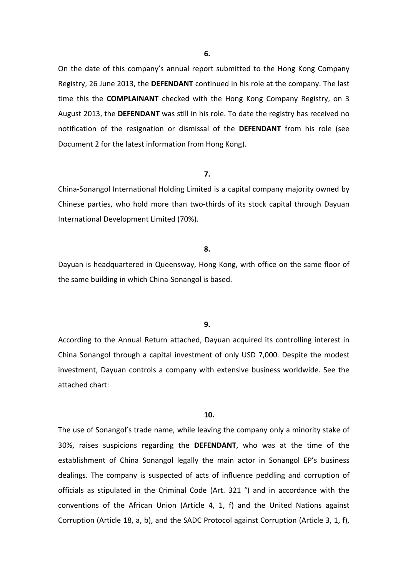On the date of this company's annual report submitted to the Hong Kong Company Registry, 26 June 2013, the DEFENDANT continued in his role at the company. The last time this the **COMPLAINANT** checked with the Hong Kong Company Registry, on 3 August 2013, the DEFENDANT was still in his role. To date the registry has received no notification of the resignation or dismissal of the **DEFENDANT** from his role (see Document 2 for the latest information from Hong Kong).

#### **7.**

China-Sonangol International Holding Limited is a capital company majority owned by Chinese parties, who hold more than two-thirds of its stock capital through Dayuan International Development Limited (70%).

#### **8.**

Dayuan is headquartered in Queensway, Hong Kong, with office on the same floor of the same building in which China-Sonangol is based.

#### **9.**

According to the Annual Return attached, Dayuan acquired its controlling interest in China Sonangol through a capital investment of only USD 7,000. Despite the modest investment, Dayuan controls a company with extensive business worldwide. See the attached chart:

#### **10.**

The use of Sonangol's trade name, while leaving the company only a minority stake of 30%, raises suspicions regarding the DEFENDANT, who was at the time of the establishment of China Sonangol legally the main actor in Sonangol EP's business dealings. The company is suspected of acts of influence peddling and corruption of officials as stipulated in the Criminal Code (Art. 321 °) and in accordance with the conventions of the African Union (Article 4, 1, f) and the United Nations against Corruption (Article 18, a, b), and the SADC Protocol against Corruption (Article 3, 1, f),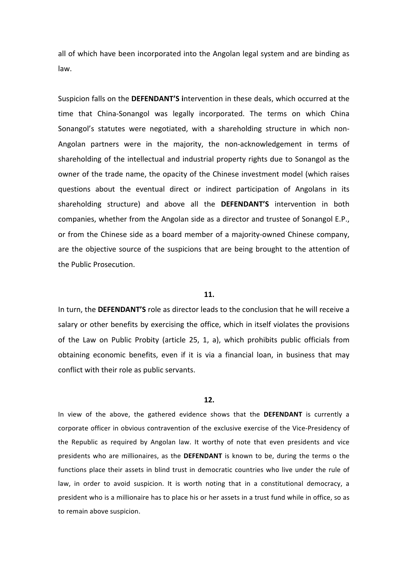all of which have been incorporated into the Angolan legal system and are binding as law.

Suspicion falls on the **DEFENDANT'S** intervention in these deals, which occurred at the time that China-Sonangol was legally incorporated. The terms on which China Sonangol's statutes were negotiated, with a shareholding structure in which non-Angolan partners were in the majority, the non-acknowledgement in terms of shareholding of the intellectual and industrial property rights due to Sonangol as the owner of the trade name, the opacity of the Chinese investment model (which raises questions about the eventual direct or indirect participation of Angolans in its shareholding structure) and above all the DEFENDANT'S intervention in both companies, whether from the Angolan side as a director and trustee of Sonangol E.P., or from the Chinese side as a board member of a majority-owned Chinese company, are the objective source of the suspicions that are being brought to the attention of the Public Prosecution.

#### **11.**

In turn, the DEFENDANT'S role as director leads to the conclusion that he will receive a salary or other benefits by exercising the office, which in itself violates the provisions of the Law on Public Probity (article 25, 1, a), which prohibits public officials from obtaining economic benefits, even if it is via a financial loan, in business that may conflict with their role as public servants.

#### **12.**

In view of the above, the gathered evidence shows that the DEFENDANT is currently a corporate officer in obvious contravention of the exclusive exercise of the Vice-Presidency of the Republic as required by Angolan law. It worthy of note that even presidents and vice presidents who are millionaires, as the **DEFENDANT** is known to be, during the terms o the functions place their assets in blind trust in democratic countries who live under the rule of law, in order to avoid suspicion. It is worth noting that in a constitutional democracy, a president who is a millionaire has to place his or her assets in a trust fund while in office, so as to remain above suspicion.